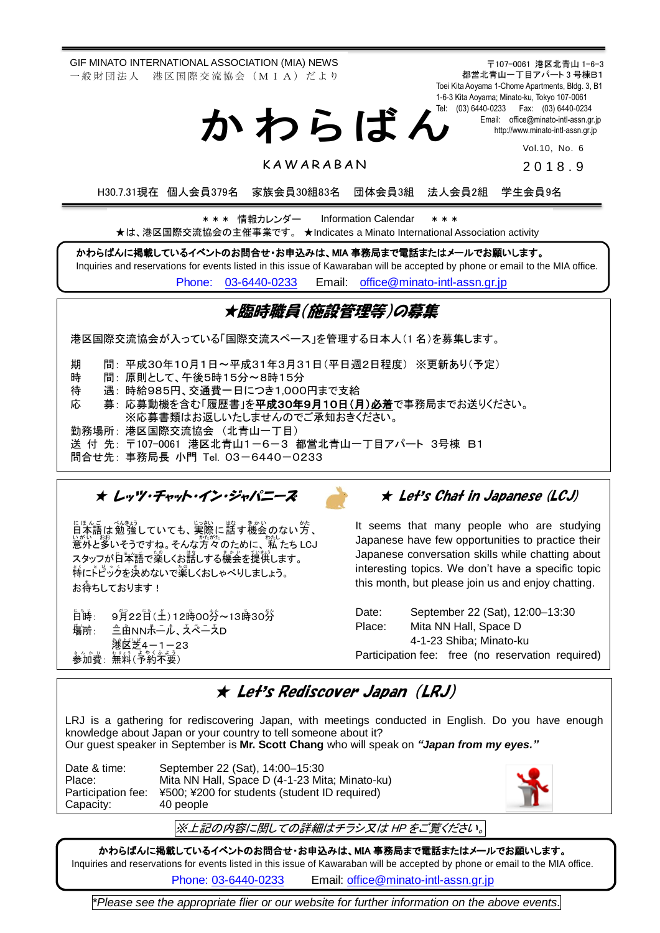GIF MINATO INTERNATIONAL ASSOCIATION (MIA) NEWS 一 般 財 団 法 人 港 区 国 際 交 流 協 会 (M I A) だ よ り

〒107-0061 港区北青山 1-6-3 都営北青山一丁目アパート 3 号棟B1 Toei Kita Aoyama 1-Chome Apartments, Bldg. 3, B1 1-6-3 Kita Aoyama; Minato-ku, Tokyo 107-0061 Tel: (03) 6440-0233 Fax: (03) 6440-0234 Email: [office@minato-intl-assn.gr.jp](mailto:office@minato-intl-assn.gr.jp) [http://www.minato-intl-assn.gr.jp](http://www.minato-intl-assn.gr.jp/) か わ ら ば ん

Vol.10, No. 6

2 0 1 8 . 9

H30.7.31現在 個人会員379名 家族会員30組83名 団体会員3組 法人会員2組 学生会員9名

\* \* \* 情報カレンダー Information Calendar \* \* \* ★は、港区国際交流協会の主催事業です。 ★Indicates a Minato International Association activity

かわらばんに掲載しているイベントのお問合せ・お申込みは、MIA 事務局まで電話またはメールでお願いします。

**KAWARABAN** 

Inquiries and reservations for events listed in this issue of Kawaraban will be accepted by phone or email to the MIA office. [Phone: 03-6440-0233](mailto:Phone:%20%2003-6440-0233) Email: [office@minato-intl-assn.gr.jp](mailto:office@minato-intl-assn.gr.jp)

## ★臨時職員(施設管理等)の募集

港区国際交流協会が入っている「国際交流スペース」を管理する日本人(1 名)を募集します。

期 間: 平成30年10月1日~平成31年3月31日(平日週2日程度) ※更新あり(予定)

時 間: 原則として、午後5時15分~8時15分

待 遇: 時給985円、交通費一日につき1,000円まで支給

応 募: 応募動機を含む「履歴書」を<u>平成30年9月10日(月)必着</u>で事務局までお送りください。

※応募書類はお返しいたしませんのでご承知おきください。

勤務場所: 港区国際交流協会 (北青山一丁目)

送 付 先: 〒107-0061 港区北青山1-6-3 都営北青山一丁目アパート 3号棟 B1

問合せ先: 事務局長 小門 Tel. 03-6440-0233

Į

★ レッツ・チャット・イン・ジャパニーズ

にほんご べんまう<br>日本語は 勉 強していても、実際に話す機会 のない方 、 ぃがい……。<br>意外と多いそうですね。そんな方々のために、 私 たち LCJ スタッフが自本語で薬しくお話しする機会を提供します。 特にトピックを決めないで楽しくおしゃべりしましょう。 お待ちしております!

日時: : 9月22日(土)12時00狩~13時30狩 塲所 : : 三田 み た NNホール ほ ー る 、スペース す ぺ ー す D **篝** 送 4-1-23 参加費 さ ん か ひ : 無料 む り ょ う (予約 よ や く 不要 ふ よ う )

## ★ Let's Chat in Japanese (LCJ)

It seems that many people who are studying Japanese have few opportunities to practice their Japanese conversation skills while chatting about interesting topics. We don't have a specific topic this month, but please join us and enjoy chatting.

Date: September 22 (Sat), 12:00–13:30 Place: Mita NN Hall, Space D 4-1-23 Shiba; Minato-ku Participation fee: free (no reservation required)

## ★ Let's Rediscover Japan (LRJ)

LRJ is a gathering for rediscovering Japan, with meetings conducted in English. Do you have enough knowledge about Japan or your country to tell someone about it? Our guest speaker in September is **Mr. Scott Chang** who will speak on *"Japan from my eyes."*

Date & time: September 22 (Sat), 14:00–15:30 Place: Mita NN Hall, Space D (4-1-23 Mita; Minato-ku) Participation fee: ¥500; ¥200 for students (student ID required) Capacity: 40 people



※上記の内容に関しての詳細はチラシ又は HP をご覧ください。

かわらばんに掲載しているイベントのお問合せ・お申込みは、MIA 事務局まで電話またはメールでお願いします。 Inquiries and reservations for events listed in this issue of Kawaraban will be accepted by phone or email to the MIA office.

Phone: [03-6440-0233](mailto:TEL:%0903-6440-0233) Email: [office@minato-intl-assn.gr.jp](mailto:office@minato-intl-assn.gr.jp)

*\*Please see the appropriate flier or our website for further information on the above events.*